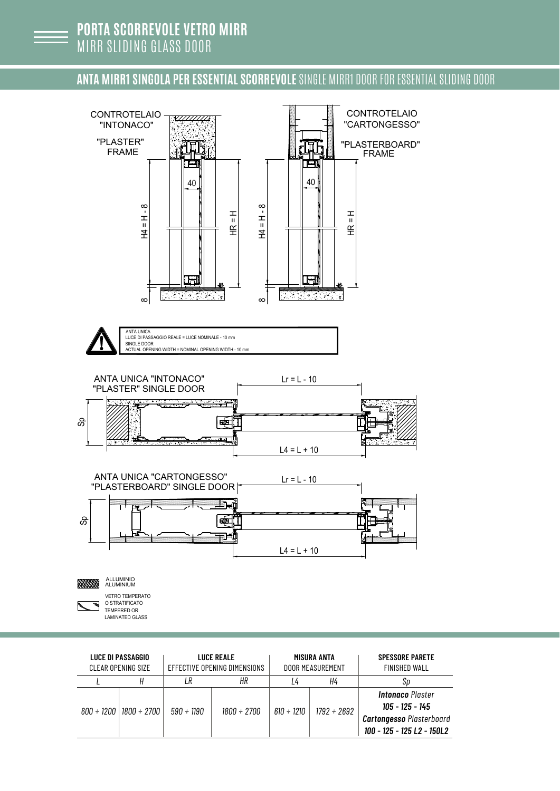## ANTA MIRR1 SINGOLA PER ESSENTIAL SCORREVOLE SINGLE MIRR1 DOOR FOR ESSENTIAL SLIDING DOOR



VETRO TEMPERATO O STRATIFICATO TEMPERED OR LAMINATED GLASS

 $\overline{\phantom{0}}$ 

| LUCE DI PASSAGGIO<br>CLEAR OPENING SIZE |                                    | LUCE REALE<br>EFFECTIVE OPENING DIMENSIONS |             | MISURA ANTA<br>DOOR MEASUREMENT |                  | <b>SPESSORE PARETE</b><br>FINISHED WALL                                                                       |
|-----------------------------------------|------------------------------------|--------------------------------------------|-------------|---------------------------------|------------------|---------------------------------------------------------------------------------------------------------------|
|                                         | Н                                  | LR                                         | НR          | 14                              | Η4               | Sp                                                                                                            |
|                                         | $600 \div 1200$   1800 $\div 2700$ | $590 \div 1190$                            | 1800 ÷ 2700 | $610 \div 1210$                 | $1792 \div 2692$ | <b>Intonaco</b> Plaster<br>$105 - 125 - 145$<br><b>Cartongesso Plasterboard</b><br>100 - 125 - 125 L2 - 150L2 |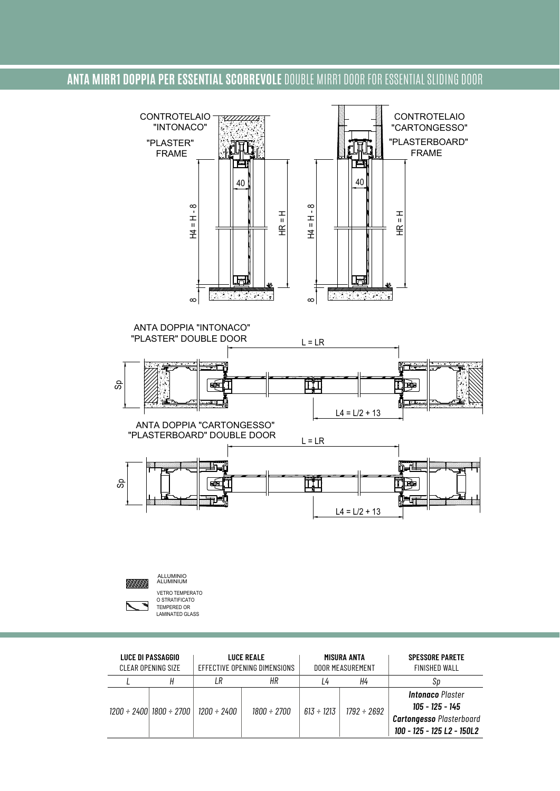## ANTA MIRR1 DOPPIA PER ESSENTIAL SCORREVOLE DOUBLE MIRR1 DOOR FOR ESSENTIAL SLIDING DOOR





**ALLUMINIO**<br>ALUMINIUM VETRO TEMPERATO<br>O STRATIFICATO TEMPERED OR LAMINATED GLASS

| LUCE DI PASSAGGIO<br>CLEAR OPENING SIZE |                          | LUCE REALE<br>EFFECTIVE OPENING DIMENSIONS |                  | MISURA ANTA<br>DOOR MEASUREMENT |                  | <b>SPESSORE PARETE</b><br>FINISHED WALL                                                                       |
|-----------------------------------------|--------------------------|--------------------------------------------|------------------|---------------------------------|------------------|---------------------------------------------------------------------------------------------------------------|
|                                         |                          | LR                                         | НR               | 14                              | Η4               | SD                                                                                                            |
|                                         | 1200 ÷ 2400  1800 ÷ 2700 | 1200 ÷ 2400                                | $1800 \div 2700$ | $613 \div 1213$                 | $1792 \div 2692$ | <b>Intonaco</b> Plaster<br>$105 - 125 - 145$<br><b>Cartongesso Plasterboard</b><br>100 - 125 - 125 L2 - 150L2 |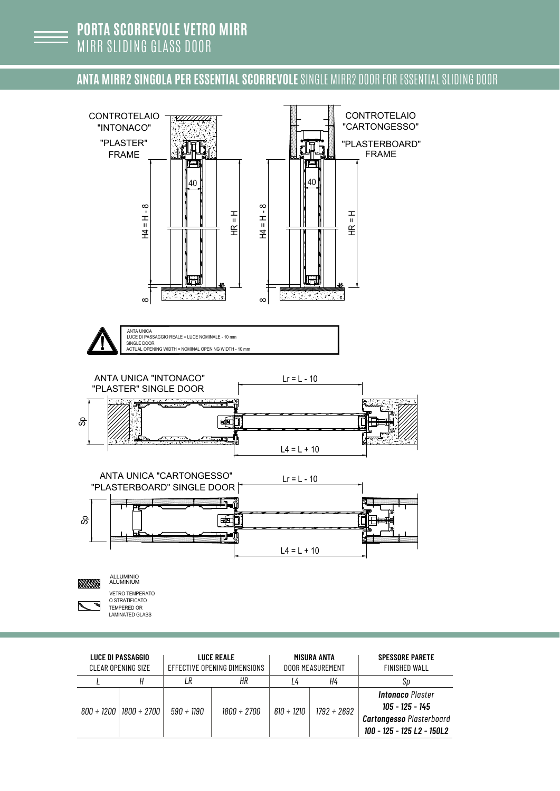## ANTA MIRR2 SINGOLA PER ESSENTIAL SCORREVOLE SINGLE MIRR2 DOOR FOR ESSENTIAL SLIDING DOOR



**SPESSORE PARETE LUCE DI PASSAGGIO LUCE REALE MISURA ANTA** CLEAR OPENING SIZE FFFFCTIVE OPFNING DIMENSIONS DOOR MEASUREMENT **FINISHED WALL**  $\overline{IR}$  $HR$  $\overline{L}$  $\boldsymbol{H}$  $L<sub>4</sub>$  $H<sub>4</sub>$  $Sp$ **Intonaco** Plaster  $105 - 125 - 145$  $600 \div 1200$  | 1800  $\div 2700$  $590 \div 1190$  $1800 \div 2700$  $610 \div 1210$  $1792 \div 2692$ **Cartongesso Plasterboard** 100 - 125 - 125 L2 - 150L2